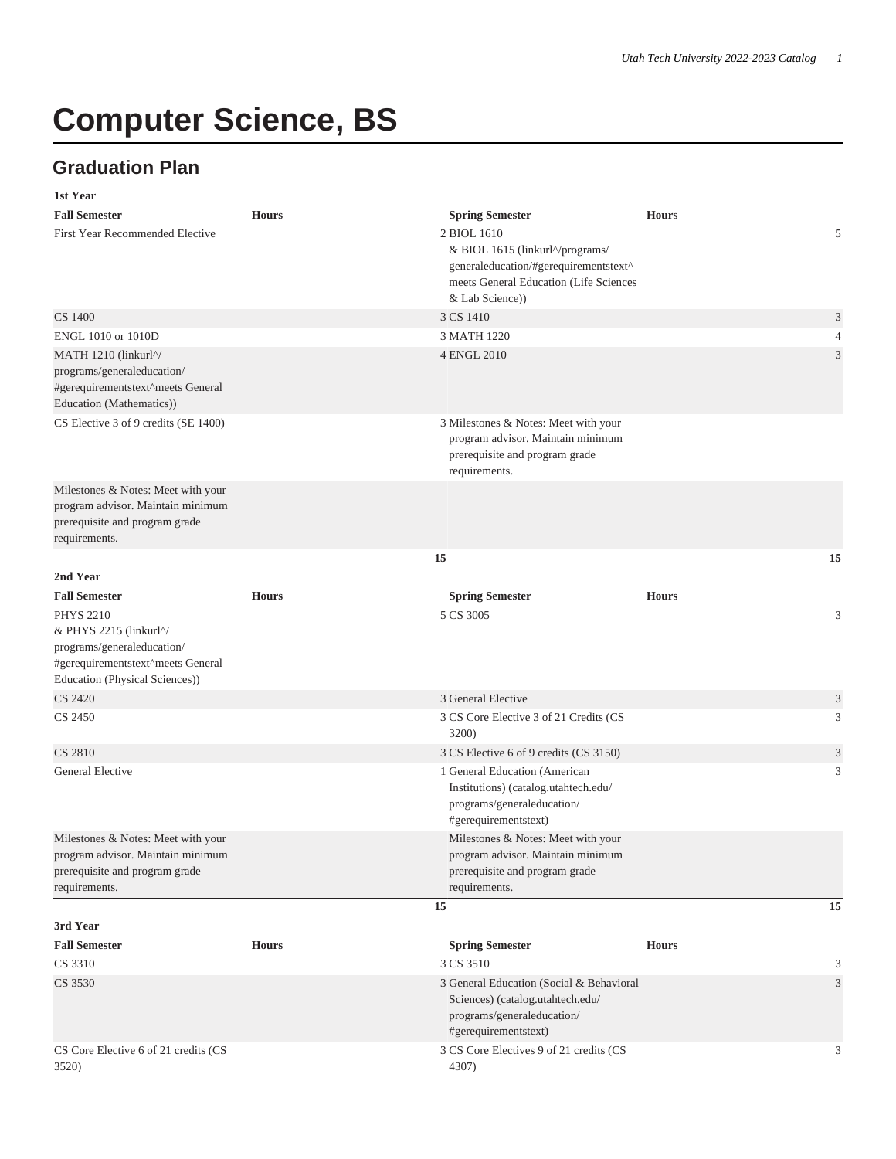## **Computer Science, BS**

## **Graduation Plan**

| 1st Year                                                                                                                                                                     |              |                                                                                                                                                                                |              |                |
|------------------------------------------------------------------------------------------------------------------------------------------------------------------------------|--------------|--------------------------------------------------------------------------------------------------------------------------------------------------------------------------------|--------------|----------------|
| <b>Fall Semester</b><br><b>First Year Recommended Elective</b>                                                                                                               | <b>Hours</b> | <b>Spring Semester</b><br>2 BIOL 1610<br>& BIOL 1615 (linkurl^/programs/<br>generaleducation/#gerequirementstext^<br>meets General Education (Life Sciences<br>& Lab Science)) | <b>Hours</b> | 5              |
| CS 1400                                                                                                                                                                      |              | 3 CS 1410                                                                                                                                                                      |              | 3              |
| ENGL 1010 or 1010D                                                                                                                                                           |              | 3 MATH 1220                                                                                                                                                                    |              | $\overline{4}$ |
| MATH 1210 (linkurl^/<br>programs/generaleducation/<br>#gerequirementstext^meets General<br>Education (Mathematics))                                                          |              | 4 ENGL 2010                                                                                                                                                                    |              | 3              |
| CS Elective 3 of 9 credits (SE 1400)                                                                                                                                         |              | 3 Milestones & Notes: Meet with your<br>program advisor. Maintain minimum<br>prerequisite and program grade<br>requirements.                                                   |              |                |
| Milestones & Notes: Meet with your<br>program advisor. Maintain minimum<br>prerequisite and program grade<br>requirements.                                                   |              |                                                                                                                                                                                |              |                |
|                                                                                                                                                                              |              | 15                                                                                                                                                                             |              | 15             |
| 2nd Year                                                                                                                                                                     |              |                                                                                                                                                                                |              |                |
| <b>Fall Semester</b>                                                                                                                                                         | <b>Hours</b> | <b>Spring Semester</b>                                                                                                                                                         | <b>Hours</b> |                |
| <b>PHYS 2210</b><br>& PHYS 2215 (linkurl <sup><math>\gamma</math></sup><br>programs/generaleducation/<br>#gerequirementstext^meets General<br>Education (Physical Sciences)) |              | 5 CS 3005                                                                                                                                                                      |              | 3              |
| <b>CS 2420</b>                                                                                                                                                               |              | 3 General Elective                                                                                                                                                             |              | 3              |
| CS 2450                                                                                                                                                                      |              | 3 CS Core Elective 3 of 21 Credits (CS<br><b>3200</b> )                                                                                                                        |              | 3              |
| <b>CS 2810</b>                                                                                                                                                               |              | 3 CS Elective 6 of 9 credits (CS 3150)                                                                                                                                         |              | 3              |
| General Elective                                                                                                                                                             |              | 1 General Education (American<br>Institutions) (catalog.utahtech.edu/<br>programs/generaleducation/<br>#gerequirementstext)                                                    |              | 3              |
| Milestones & Notes: Meet with your<br>program advisor. Maintain minimum<br>prerequisite and program grade<br>requirements.                                                   |              | Milestones & Notes: Meet with your<br>program advisor. Maintain minimum<br>prerequisite and program grade<br>requirements.                                                     |              |                |
|                                                                                                                                                                              |              | 15                                                                                                                                                                             |              | 15             |
| 3rd Year                                                                                                                                                                     |              |                                                                                                                                                                                |              |                |
| <b>Fall Semester</b>                                                                                                                                                         | <b>Hours</b> | <b>Spring Semester</b>                                                                                                                                                         | <b>Hours</b> |                |
| CS 3310                                                                                                                                                                      |              | 3 CS 3510                                                                                                                                                                      |              | 3              |
| CS 3530                                                                                                                                                                      |              | 3 General Education (Social & Behavioral<br>Sciences) (catalog.utahtech.edu/<br>programs/generaleducation/<br>#gerequirementstext)                                             |              | 3              |
| CS Core Elective 6 of 21 credits (CS<br>3520)                                                                                                                                |              | 3 CS Core Electives 9 of 21 credits (CS<br>4307)                                                                                                                               |              | 3              |